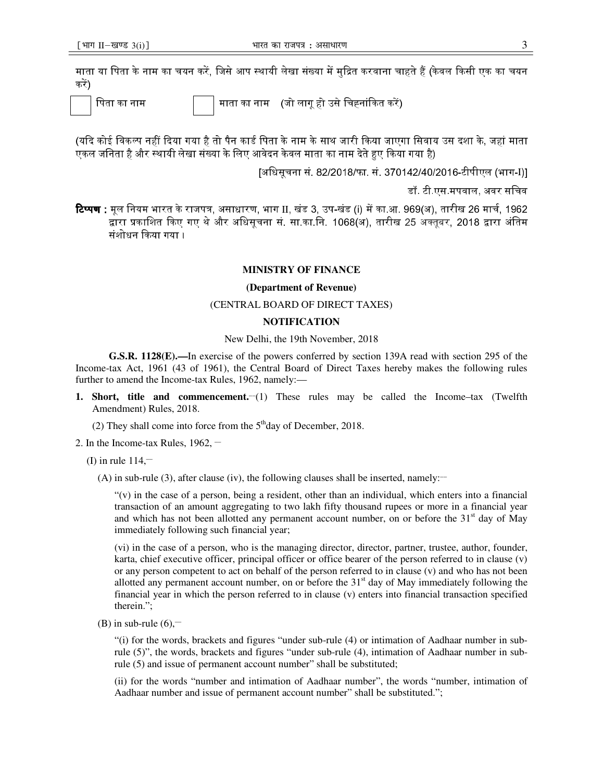#### **MINISTRY OF FINANCE**

#### **(Department of Revenue)**

## (CENTRAL BOARD OF DIRECT TAXES)

## **NOTIFICATION**

## New Delhi, the 19th November, 2018

**G.S.R. 1128(E).—**In exercise of the powers conferred by section 139A read with section 295 of the Income-tax Act, 1961 (43 of 1961), the Central Board of Direct Taxes hereby makes the following rules further to amend the Income-tax Rules, 1962, namely:—

- **1. Short, title and commencement.** (1) These rules may be called the Income–tax (Twelfth Amendment) Rules, 2018.
	- (2) They shall come into force from the  $5<sup>th</sup>$ day of December, 2018.
- 2. In the Income-tax Rules,  $1962$ ,  $-$

(I) in rule  $114$ ,

(A) in sub-rule (3), after clause (iv), the following clauses shall be inserted, namely:

 $''(v)$  in the case of a person, being a resident, other than an individual, which enters into a financial transaction of an amount aggregating to two lakh fifty thousand rupees or more in a financial year and which has not been allotted any permanent account number, on or before the  $31<sup>st</sup>$  day of May immediately following such financial year;

(vi) in the case of a person, who is the managing director, director, partner, trustee, author, founder, karta, chief executive officer, principal officer or office bearer of the person referred to in clause (v) or any person competent to act on behalf of the person referred to in clause  $(v)$  and who has not been allotted any permanent account number, on or before the  $31<sup>st</sup>$  day of May immediately following the financial year in which the person referred to in clause (v) enters into financial transaction specified therein.";

(B) in sub-rule  $(6)$ ,-

"(i) for the words, brackets and figures "under sub-rule (4) or intimation of Aadhaar number in subrule (5)", the words, brackets and figures "under sub-rule (4), intimation of Aadhaar number in subrule (5) and issue of permanent account number" shall be substituted;

(ii) for the words "number and intimation of Aadhaar number", the words "number, intimation of Aadhaar number and issue of permanent account number" shall be substituted.";